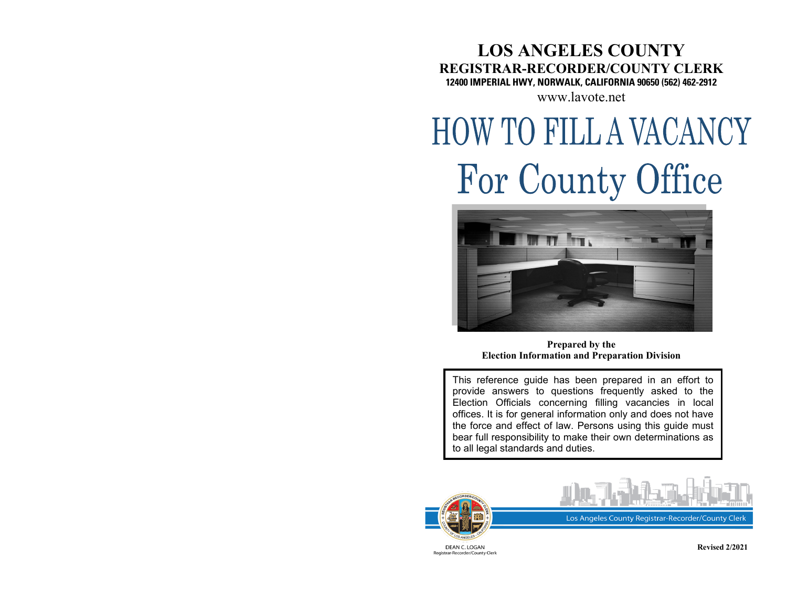## **LOS ANGELES COUNTY REGISTRAR-RECORDER/COUNTY CLERK 12400 IMPERIAL HWY, NORWALK, CALIFORNIA 90650 (562) 462-2912**

[www.lavote.net](http://www.lavote.net/)

# **HOW TO FILL A VACANCY** For County Office



**Prepared by the Election Information and Preparation Division**

This reference guide has been prepared in an effort to provide answers to questions frequently asked to the Election Officials concerning filling vacancies in local offices. It is for general information only and does not have the force and effect of law. Persons using this guide must bear full responsibility to make their own determinations as to all legal standards and duties.





Registrar-Recorder/County Clerk